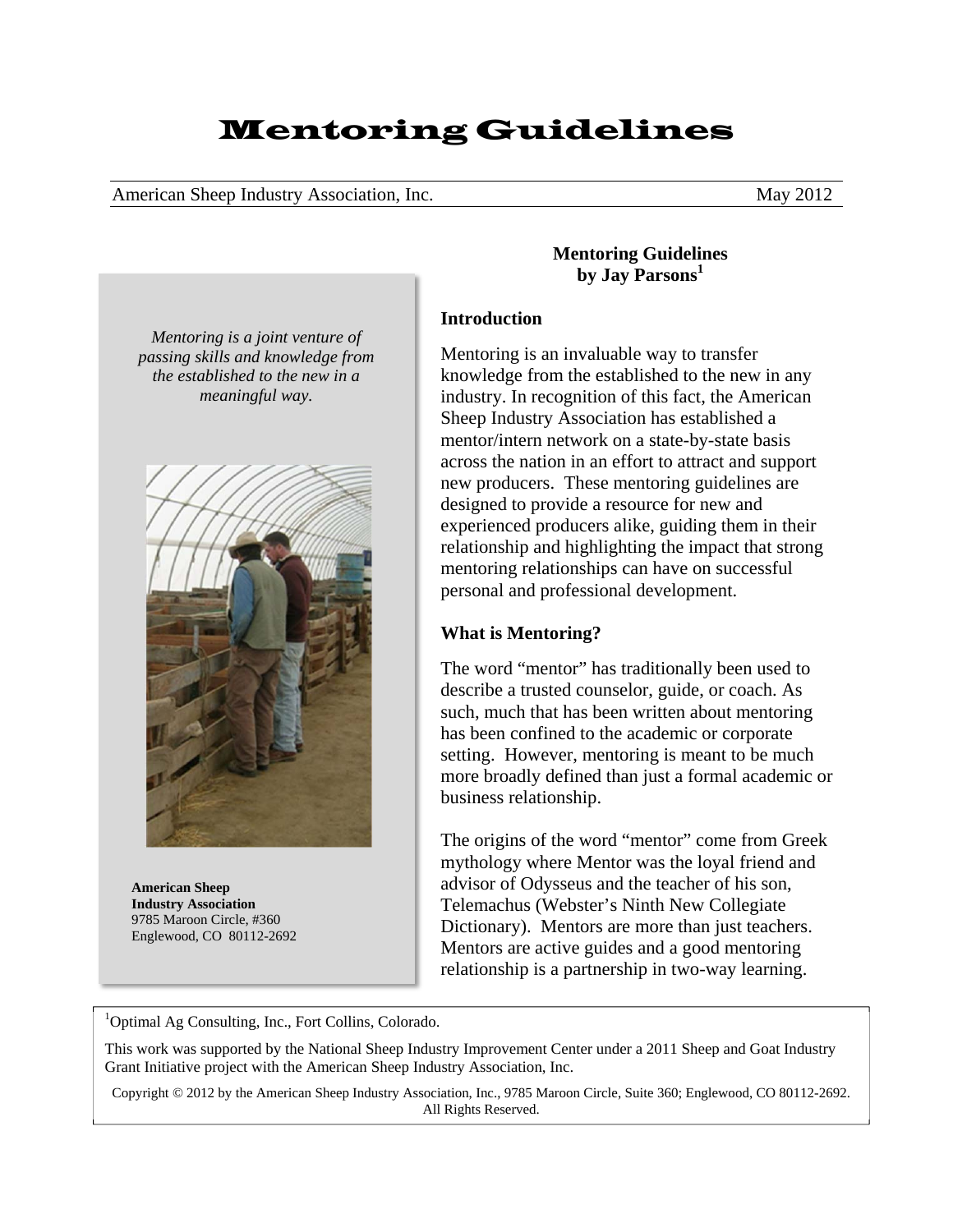# Mentoring Guidelines

American Sheep Industry Association, Inc. May 2012

*Mentoring is a joint venture of passing skills and knowledge from the established to the new in a meaningful way.* 



**American Sheep Industry Association**  9785 Maroon Circle, #360 Englewood, CO 80112-2692 **Mentoring Guidelines by Jay Parsons<sup>1</sup>**

## **Introduction**

Mentoring is an invaluable way to transfer knowledge from the established to the new in any industry. In recognition of this fact, the American Sheep Industry Association has established a mentor/intern network on a state-by-state basis across the nation in an effort to attract and support new producers. These mentoring guidelines are designed to provide a resource for new and experienced producers alike, guiding them in their relationship and highlighting the impact that strong mentoring relationships can have on successful personal and professional development.

# **What is Mentoring?**

The word "mentor" has traditionally been used to describe a trusted counselor, guide, or coach. As such, much that has been written about mentoring has been confined to the academic or corporate setting. However, mentoring is meant to be much more broadly defined than just a formal academic or business relationship.

The origins of the word "mentor" come from Greek mythology where Mentor was the loyal friend and advisor of Odysseus and the teacher of his son, Telemachus (Webster's Ninth New Collegiate Dictionary). Mentors are more than just teachers. Mentors are active guides and a good mentoring relationship is a partnership in two-way learning.

<sup>1</sup>Optimal Ag Consulting, Inc., Fort Collins, Colorado.

This work was supported by the National Sheep Industry Improvement Center under a 2011 Sheep and Goat Industry Grant Initiative project with the American Sheep Industry Association, Inc.

Copyright © 2012 by the American Sheep Industry Association, Inc., 9785 Maroon Circle, Suite 360; Englewood, CO 80112-2692. All Rights Reserved.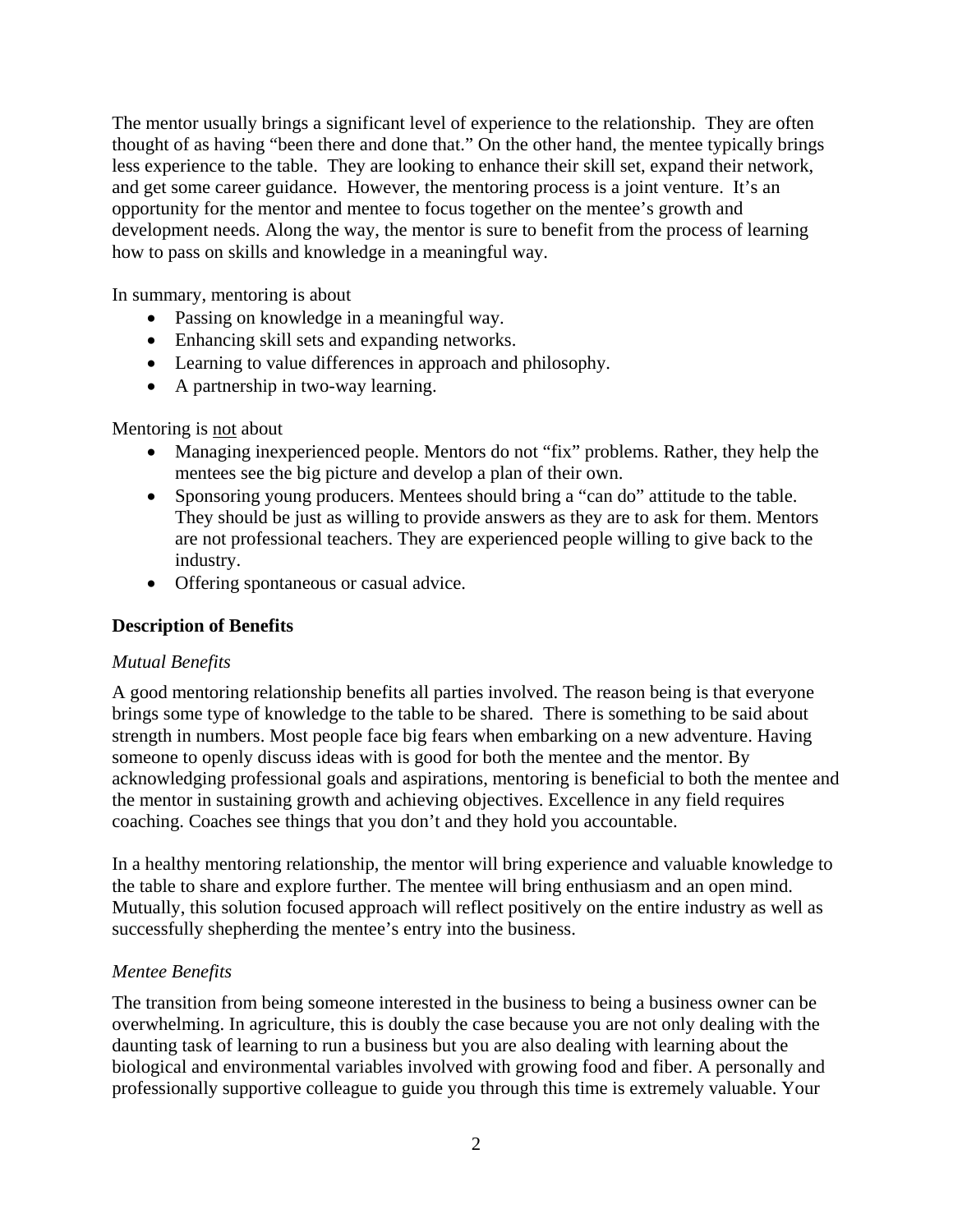The mentor usually brings a significant level of experience to the relationship. They are often thought of as having "been there and done that." On the other hand, the mentee typically brings less experience to the table. They are looking to enhance their skill set, expand their network, and get some career guidance. However, the mentoring process is a joint venture. It's an opportunity for the mentor and mentee to focus together on the mentee's growth and development needs. Along the way, the mentor is sure to benefit from the process of learning how to pass on skills and knowledge in a meaningful way.

In summary, mentoring is about

- Passing on knowledge in a meaningful way.
- Enhancing skill sets and expanding networks.
- Learning to value differences in approach and philosophy.
- A partnership in two-way learning.

Mentoring is not about

- Managing inexperienced people. Mentors do not "fix" problems. Rather, they help the mentees see the big picture and develop a plan of their own.
- Sponsoring young producers. Mentees should bring a "can do" attitude to the table. They should be just as willing to provide answers as they are to ask for them. Mentors are not professional teachers. They are experienced people willing to give back to the industry.
- Offering spontaneous or casual advice.

## **Description of Benefits**

### *Mutual Benefits*

A good mentoring relationship benefits all parties involved. The reason being is that everyone brings some type of knowledge to the table to be shared. There is something to be said about strength in numbers. Most people face big fears when embarking on a new adventure. Having someone to openly discuss ideas with is good for both the mentee and the mentor. By acknowledging professional goals and aspirations, mentoring is beneficial to both the mentee and the mentor in sustaining growth and achieving objectives. Excellence in any field requires coaching. Coaches see things that you don't and they hold you accountable.

In a healthy mentoring relationship, the mentor will bring experience and valuable knowledge to the table to share and explore further. The mentee will bring enthusiasm and an open mind. Mutually, this solution focused approach will reflect positively on the entire industry as well as successfully shepherding the mentee's entry into the business.

### *Mentee Benefits*

The transition from being someone interested in the business to being a business owner can be overwhelming. In agriculture, this is doubly the case because you are not only dealing with the daunting task of learning to run a business but you are also dealing with learning about the biological and environmental variables involved with growing food and fiber. A personally and professionally supportive colleague to guide you through this time is extremely valuable. Your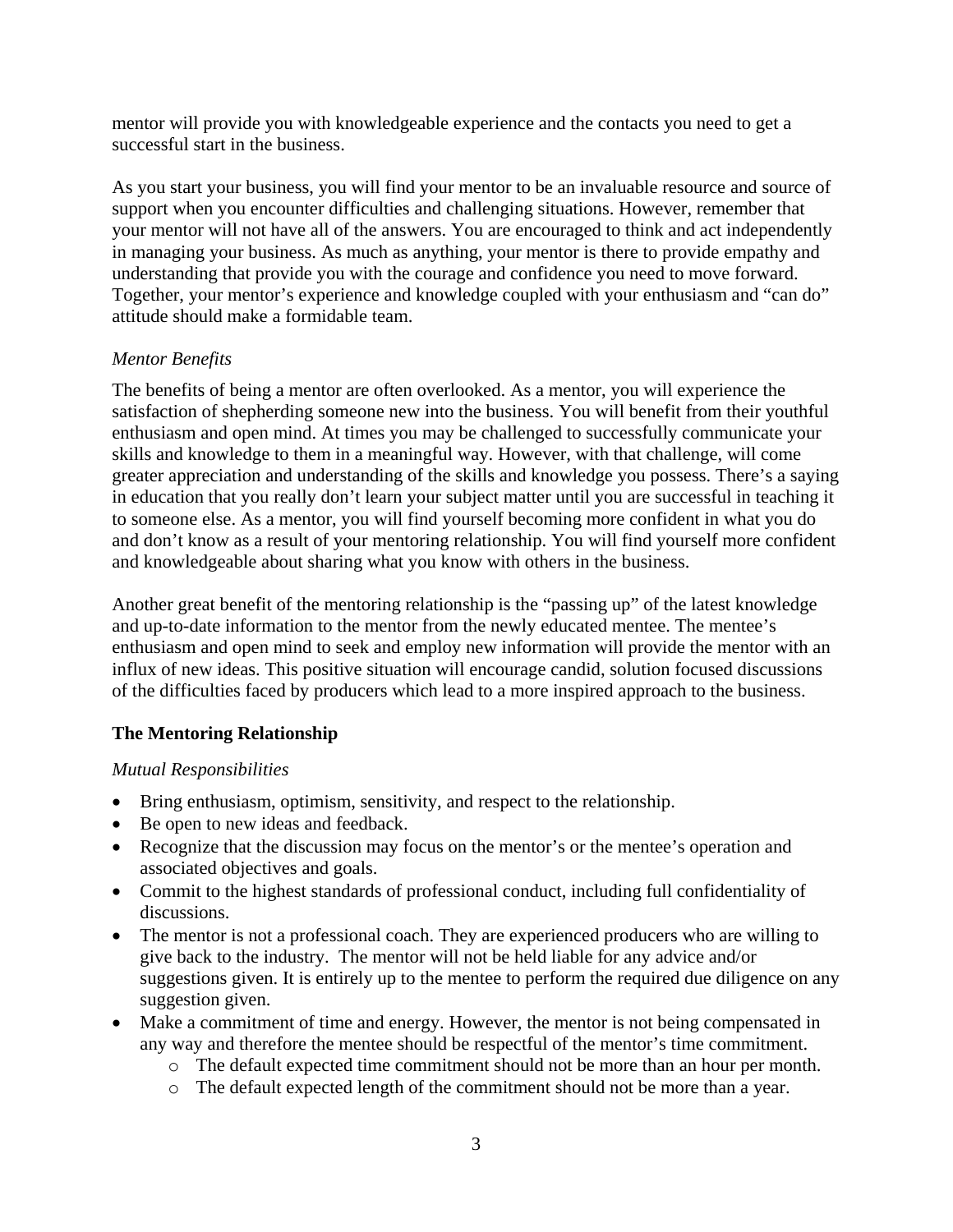mentor will provide you with knowledgeable experience and the contacts you need to get a successful start in the business.

As you start your business, you will find your mentor to be an invaluable resource and source of support when you encounter difficulties and challenging situations. However, remember that your mentor will not have all of the answers. You are encouraged to think and act independently in managing your business. As much as anything, your mentor is there to provide empathy and understanding that provide you with the courage and confidence you need to move forward. Together, your mentor's experience and knowledge coupled with your enthusiasm and "can do" attitude should make a formidable team.

# *Mentor Benefits*

The benefits of being a mentor are often overlooked. As a mentor, you will experience the satisfaction of shepherding someone new into the business. You will benefit from their youthful enthusiasm and open mind. At times you may be challenged to successfully communicate your skills and knowledge to them in a meaningful way. However, with that challenge, will come greater appreciation and understanding of the skills and knowledge you possess. There's a saying in education that you really don't learn your subject matter until you are successful in teaching it to someone else. As a mentor, you will find yourself becoming more confident in what you do and don't know as a result of your mentoring relationship. You will find yourself more confident and knowledgeable about sharing what you know with others in the business.

Another great benefit of the mentoring relationship is the "passing up" of the latest knowledge and up-to-date information to the mentor from the newly educated mentee. The mentee's enthusiasm and open mind to seek and employ new information will provide the mentor with an influx of new ideas. This positive situation will encourage candid, solution focused discussions of the difficulties faced by producers which lead to a more inspired approach to the business.

# **The Mentoring Relationship**

# *Mutual Responsibilities*

- Bring enthusiasm, optimism, sensitivity, and respect to the relationship.
- Be open to new ideas and feedback.
- Recognize that the discussion may focus on the mentor's or the mentee's operation and associated objectives and goals.
- Commit to the highest standards of professional conduct, including full confidentiality of discussions.
- The mentor is not a professional coach. They are experienced producers who are willing to give back to the industry. The mentor will not be held liable for any advice and/or suggestions given. It is entirely up to the mentee to perform the required due diligence on any suggestion given.
- Make a commitment of time and energy. However, the mentor is not being compensated in any way and therefore the mentee should be respectful of the mentor's time commitment.
	- o The default expected time commitment should not be more than an hour per month.
	- o The default expected length of the commitment should not be more than a year.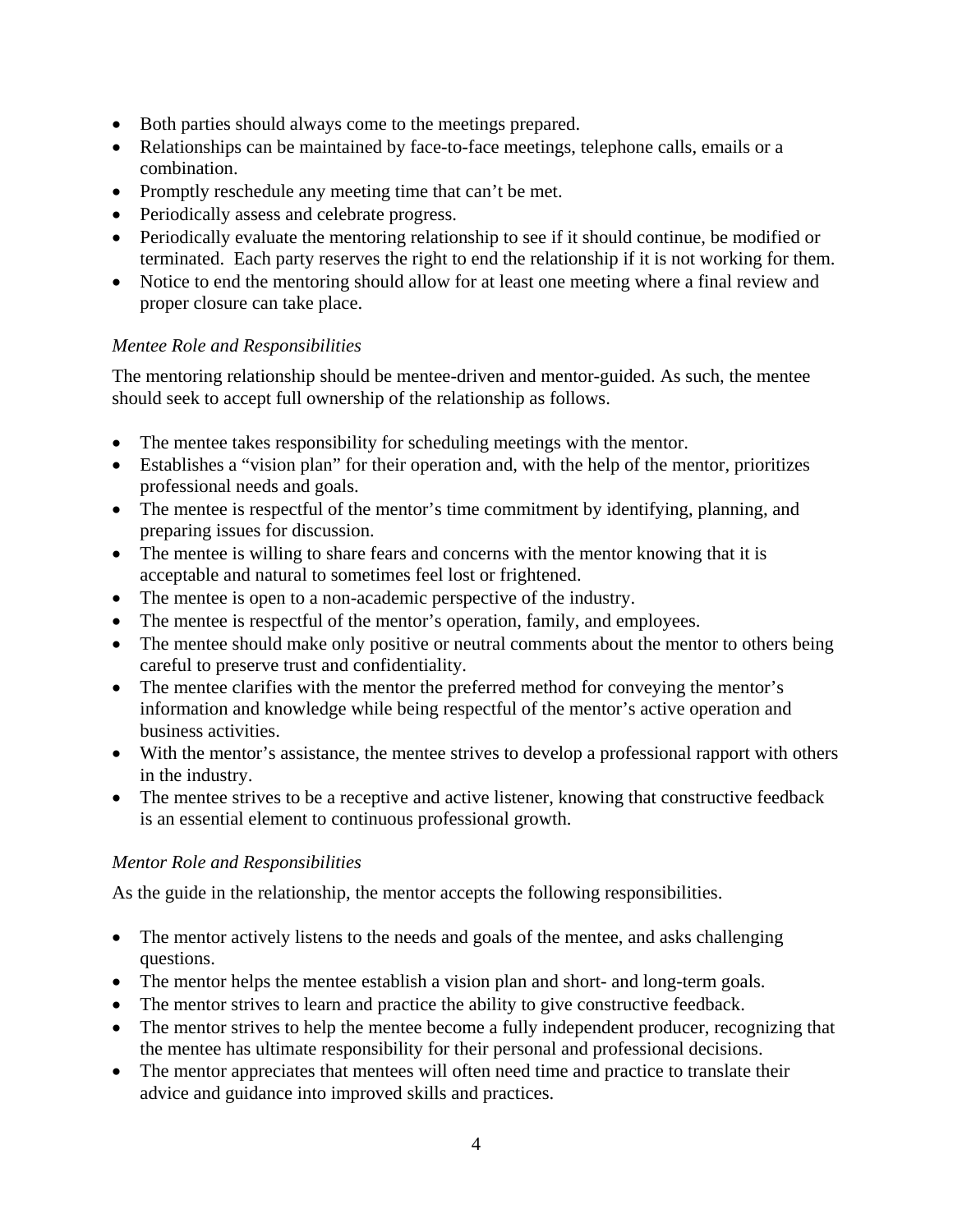- Both parties should always come to the meetings prepared.
- Relationships can be maintained by face-to-face meetings, telephone calls, emails or a combination.
- Promptly reschedule any meeting time that can't be met.
- Periodically assess and celebrate progress.
- Periodically evaluate the mentoring relationship to see if it should continue, be modified or terminated. Each party reserves the right to end the relationship if it is not working for them.
- Notice to end the mentoring should allow for at least one meeting where a final review and proper closure can take place.

# *Mentee Role and Responsibilities*

The mentoring relationship should be mentee-driven and mentor-guided. As such, the mentee should seek to accept full ownership of the relationship as follows.

- The mentee takes responsibility for scheduling meetings with the mentor.
- Establishes a "vision plan" for their operation and, with the help of the mentor, prioritizes professional needs and goals.
- The mentee is respectful of the mentor's time commitment by identifying, planning, and preparing issues for discussion.
- The mentee is willing to share fears and concerns with the mentor knowing that it is acceptable and natural to sometimes feel lost or frightened.
- The mentee is open to a non-academic perspective of the industry.
- The mentee is respectful of the mentor's operation, family, and employees.
- The mentee should make only positive or neutral comments about the mentor to others being careful to preserve trust and confidentiality.
- The mentee clarifies with the mentor the preferred method for conveying the mentor's information and knowledge while being respectful of the mentor's active operation and business activities.
- With the mentor's assistance, the mentee strives to develop a professional rapport with others in the industry.
- The mentee strives to be a receptive and active listener, knowing that constructive feedback is an essential element to continuous professional growth.

# *Mentor Role and Responsibilities*

As the guide in the relationship, the mentor accepts the following responsibilities.

- The mentor actively listens to the needs and goals of the mentee, and asks challenging questions.
- The mentor helps the mentee establish a vision plan and short- and long-term goals.
- The mentor strives to learn and practice the ability to give constructive feedback.
- The mentor strives to help the mentee become a fully independent producer, recognizing that the mentee has ultimate responsibility for their personal and professional decisions.
- The mentor appreciates that mentees will often need time and practice to translate their advice and guidance into improved skills and practices.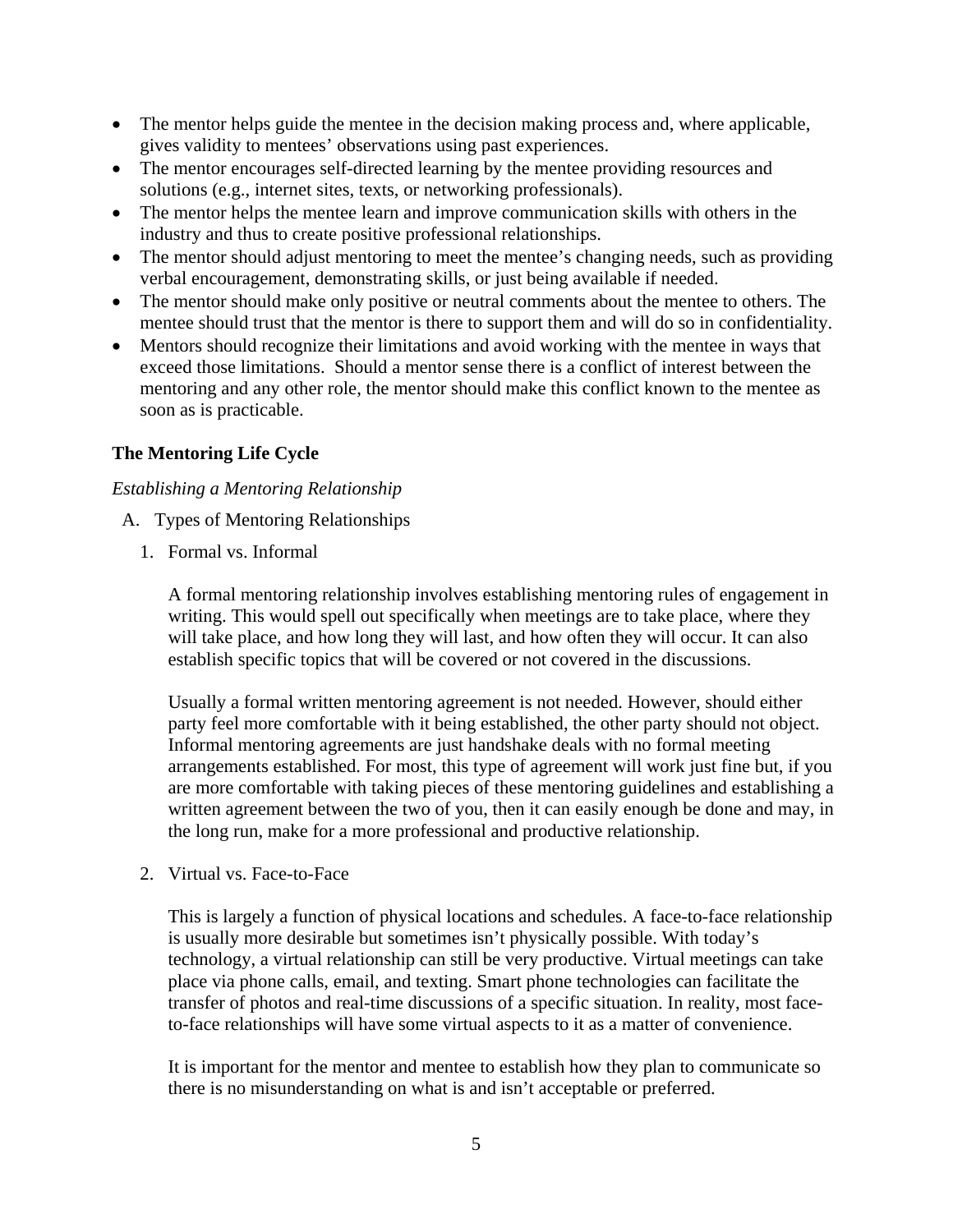- The mentor helps guide the mentee in the decision making process and, where applicable, gives validity to mentees' observations using past experiences.
- The mentor encourages self-directed learning by the mentee providing resources and solutions (e.g., internet sites, texts, or networking professionals).
- The mentor helps the mentee learn and improve communication skills with others in the industry and thus to create positive professional relationships.
- The mentor should adjust mentoring to meet the mentee's changing needs, such as providing verbal encouragement, demonstrating skills, or just being available if needed.
- The mentor should make only positive or neutral comments about the mentee to others. The mentee should trust that the mentor is there to support them and will do so in confidentiality.
- Mentors should recognize their limitations and avoid working with the mentee in ways that exceed those limitations. Should a mentor sense there is a conflict of interest between the mentoring and any other role, the mentor should make this conflict known to the mentee as soon as is practicable.

# **The Mentoring Life Cycle**

## *Establishing a Mentoring Relationship*

- A. Types of Mentoring Relationships
	- 1. Formal vs. Informal

A formal mentoring relationship involves establishing mentoring rules of engagement in writing. This would spell out specifically when meetings are to take place, where they will take place, and how long they will last, and how often they will occur. It can also establish specific topics that will be covered or not covered in the discussions.

Usually a formal written mentoring agreement is not needed. However, should either party feel more comfortable with it being established, the other party should not object. Informal mentoring agreements are just handshake deals with no formal meeting arrangements established. For most, this type of agreement will work just fine but, if you are more comfortable with taking pieces of these mentoring guidelines and establishing a written agreement between the two of you, then it can easily enough be done and may, in the long run, make for a more professional and productive relationship.

2. Virtual vs. Face-to-Face

This is largely a function of physical locations and schedules. A face-to-face relationship is usually more desirable but sometimes isn't physically possible. With today's technology, a virtual relationship can still be very productive. Virtual meetings can take place via phone calls, email, and texting. Smart phone technologies can facilitate the transfer of photos and real-time discussions of a specific situation. In reality, most faceto-face relationships will have some virtual aspects to it as a matter of convenience.

It is important for the mentor and mentee to establish how they plan to communicate so there is no misunderstanding on what is and isn't acceptable or preferred.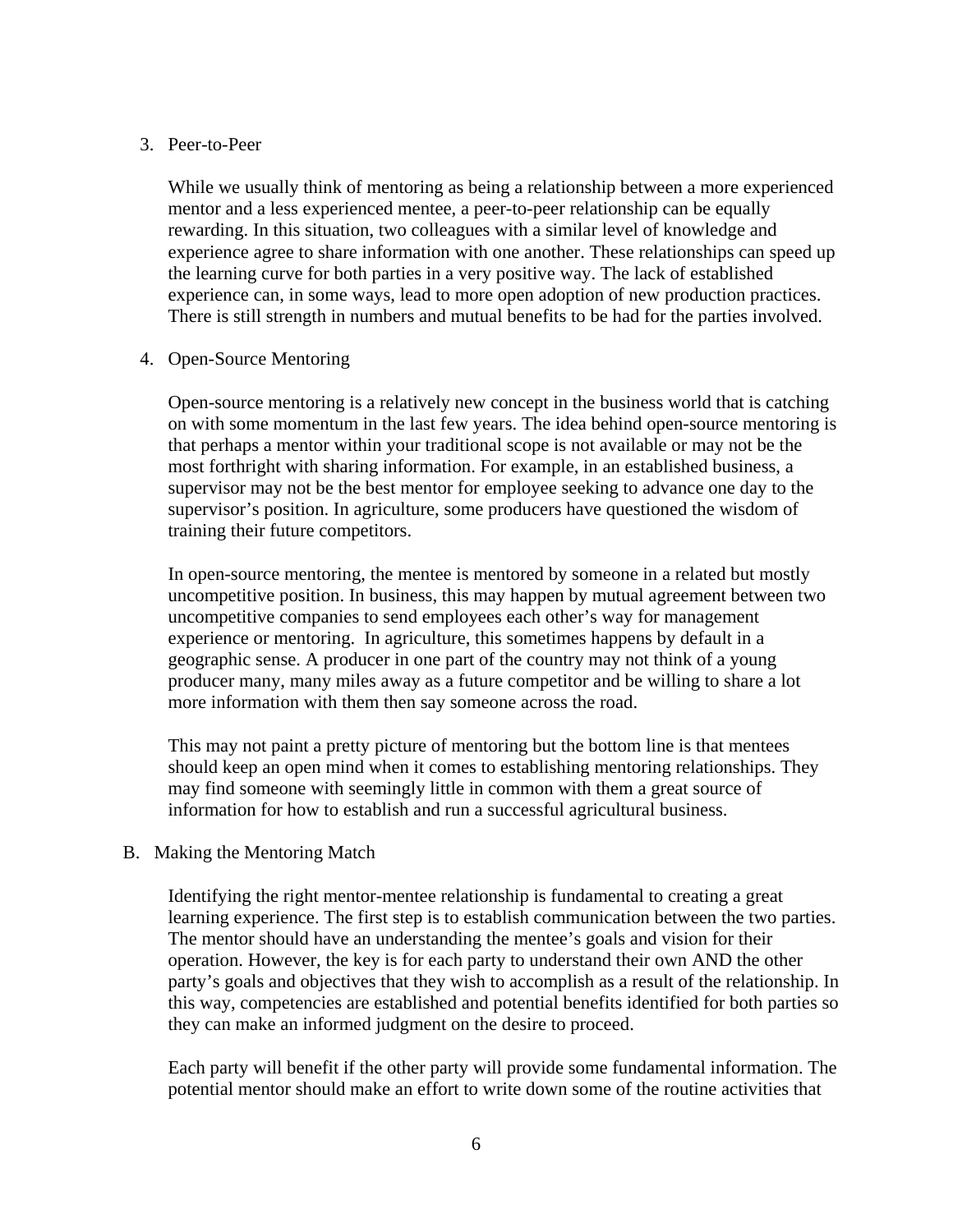#### 3. Peer-to-Peer

While we usually think of mentoring as being a relationship between a more experienced mentor and a less experienced mentee, a peer-to-peer relationship can be equally rewarding. In this situation, two colleagues with a similar level of knowledge and experience agree to share information with one another. These relationships can speed up the learning curve for both parties in a very positive way. The lack of established experience can, in some ways, lead to more open adoption of new production practices. There is still strength in numbers and mutual benefits to be had for the parties involved.

#### 4. Open-Source Mentoring

Open-source mentoring is a relatively new concept in the business world that is catching on with some momentum in the last few years. The idea behind open-source mentoring is that perhaps a mentor within your traditional scope is not available or may not be the most forthright with sharing information. For example, in an established business, a supervisor may not be the best mentor for employee seeking to advance one day to the supervisor's position. In agriculture, some producers have questioned the wisdom of training their future competitors.

In open-source mentoring, the mentee is mentored by someone in a related but mostly uncompetitive position. In business, this may happen by mutual agreement between two uncompetitive companies to send employees each other's way for management experience or mentoring. In agriculture, this sometimes happens by default in a geographic sense. A producer in one part of the country may not think of a young producer many, many miles away as a future competitor and be willing to share a lot more information with them then say someone across the road.

This may not paint a pretty picture of mentoring but the bottom line is that mentees should keep an open mind when it comes to establishing mentoring relationships. They may find someone with seemingly little in common with them a great source of information for how to establish and run a successful agricultural business.

#### B. Making the Mentoring Match

Identifying the right mentor-mentee relationship is fundamental to creating a great learning experience. The first step is to establish communication between the two parties. The mentor should have an understanding the mentee's goals and vision for their operation. However, the key is for each party to understand their own AND the other party's goals and objectives that they wish to accomplish as a result of the relationship. In this way, competencies are established and potential benefits identified for both parties so they can make an informed judgment on the desire to proceed.

Each party will benefit if the other party will provide some fundamental information. The potential mentor should make an effort to write down some of the routine activities that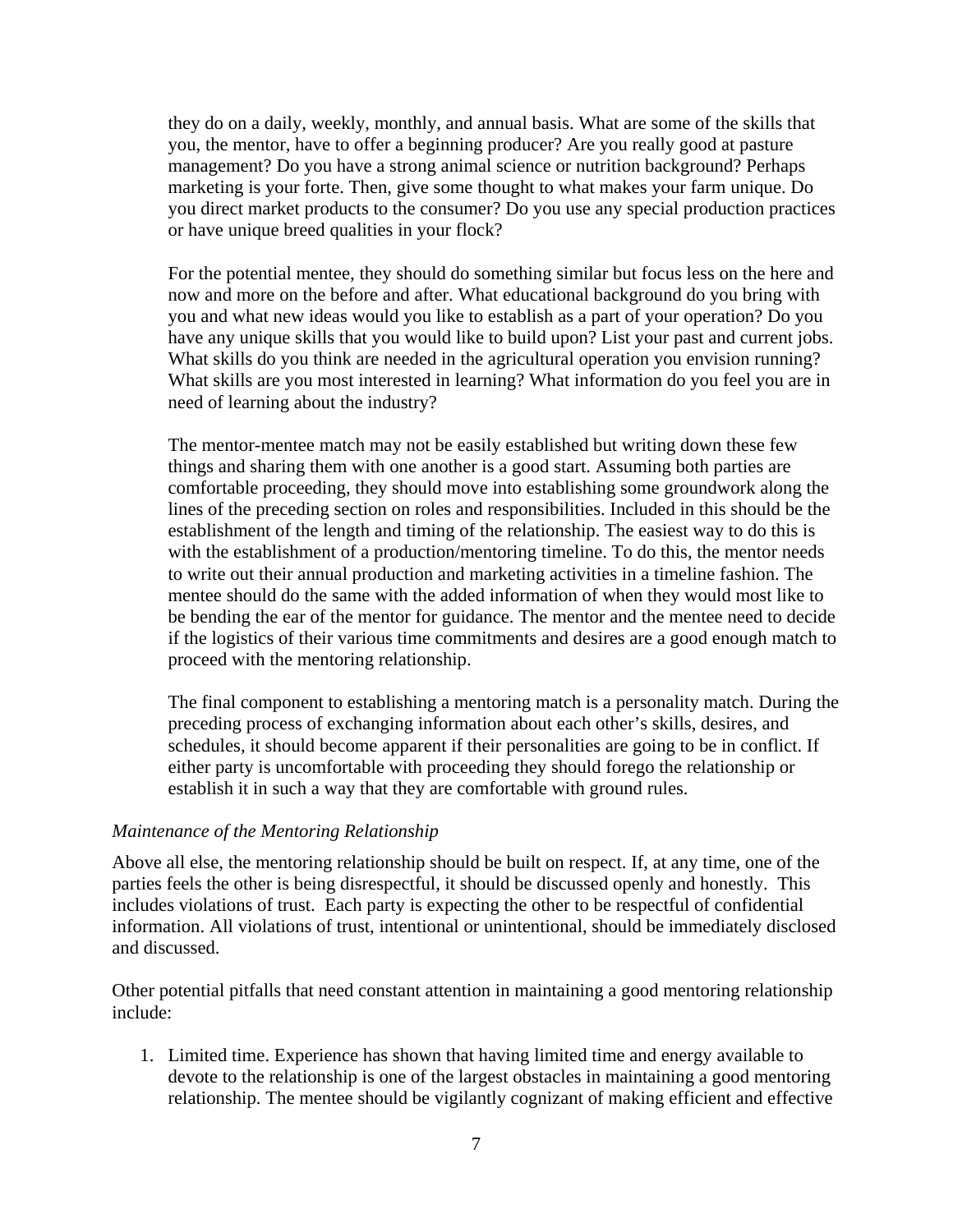they do on a daily, weekly, monthly, and annual basis. What are some of the skills that you, the mentor, have to offer a beginning producer? Are you really good at pasture management? Do you have a strong animal science or nutrition background? Perhaps marketing is your forte. Then, give some thought to what makes your farm unique. Do you direct market products to the consumer? Do you use any special production practices or have unique breed qualities in your flock?

For the potential mentee, they should do something similar but focus less on the here and now and more on the before and after. What educational background do you bring with you and what new ideas would you like to establish as a part of your operation? Do you have any unique skills that you would like to build upon? List your past and current jobs. What skills do you think are needed in the agricultural operation you envision running? What skills are you most interested in learning? What information do you feel you are in need of learning about the industry?

The mentor-mentee match may not be easily established but writing down these few things and sharing them with one another is a good start. Assuming both parties are comfortable proceeding, they should move into establishing some groundwork along the lines of the preceding section on roles and responsibilities. Included in this should be the establishment of the length and timing of the relationship. The easiest way to do this is with the establishment of a production/mentoring timeline. To do this, the mentor needs to write out their annual production and marketing activities in a timeline fashion. The mentee should do the same with the added information of when they would most like to be bending the ear of the mentor for guidance. The mentor and the mentee need to decide if the logistics of their various time commitments and desires are a good enough match to proceed with the mentoring relationship.

The final component to establishing a mentoring match is a personality match. During the preceding process of exchanging information about each other's skills, desires, and schedules, it should become apparent if their personalities are going to be in conflict. If either party is uncomfortable with proceeding they should forego the relationship or establish it in such a way that they are comfortable with ground rules.

#### *Maintenance of the Mentoring Relationship*

Above all else, the mentoring relationship should be built on respect. If, at any time, one of the parties feels the other is being disrespectful, it should be discussed openly and honestly. This includes violations of trust. Each party is expecting the other to be respectful of confidential information. All violations of trust, intentional or unintentional, should be immediately disclosed and discussed.

Other potential pitfalls that need constant attention in maintaining a good mentoring relationship include:

1. Limited time. Experience has shown that having limited time and energy available to devote to the relationship is one of the largest obstacles in maintaining a good mentoring relationship. The mentee should be vigilantly cognizant of making efficient and effective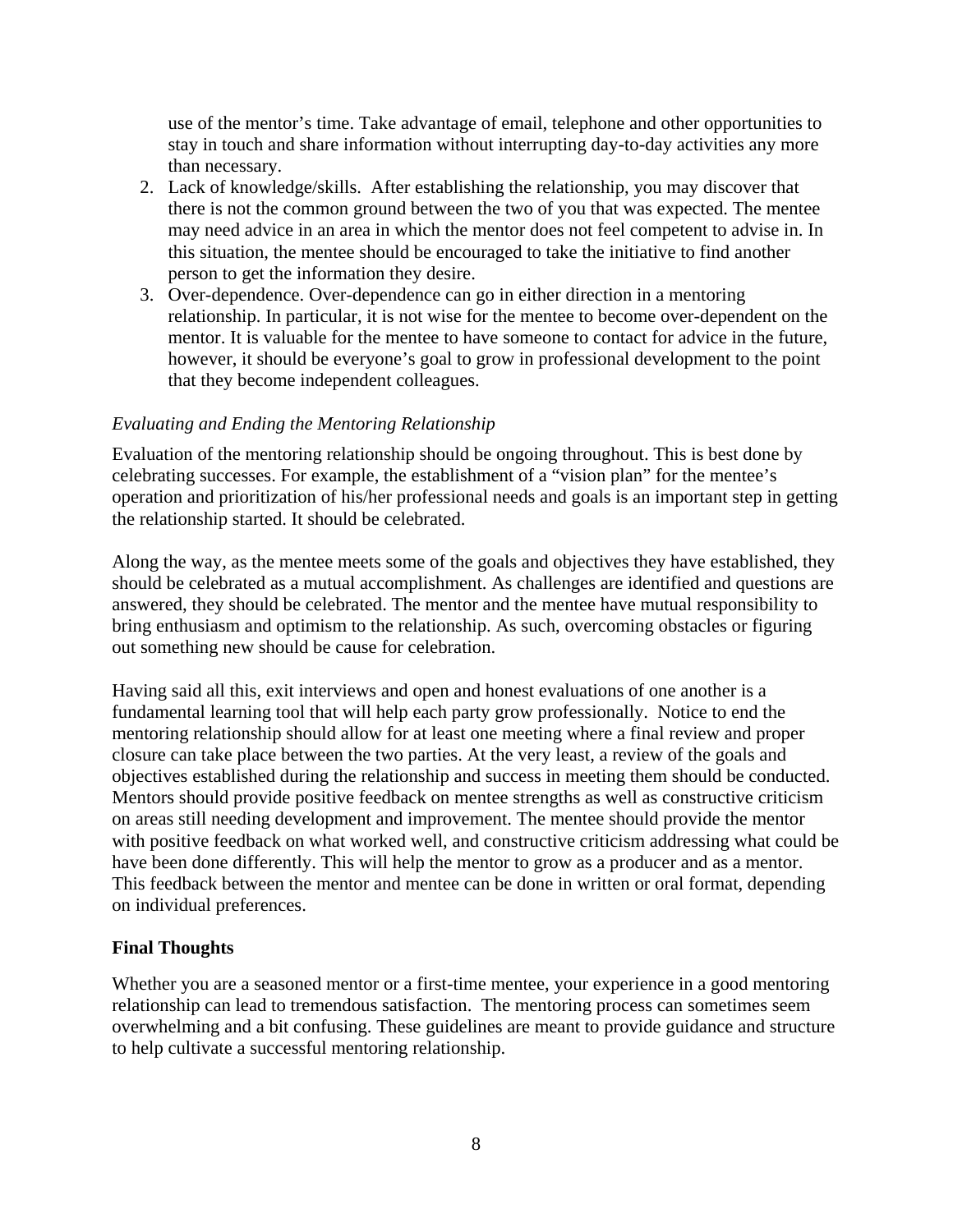use of the mentor's time. Take advantage of email, telephone and other opportunities to stay in touch and share information without interrupting day-to-day activities any more than necessary.

- 2. Lack of knowledge/skills. After establishing the relationship, you may discover that there is not the common ground between the two of you that was expected. The mentee may need advice in an area in which the mentor does not feel competent to advise in. In this situation, the mentee should be encouraged to take the initiative to find another person to get the information they desire.
- 3. Over-dependence. Over-dependence can go in either direction in a mentoring relationship. In particular, it is not wise for the mentee to become over-dependent on the mentor. It is valuable for the mentee to have someone to contact for advice in the future, however, it should be everyone's goal to grow in professional development to the point that they become independent colleagues.

### *Evaluating and Ending the Mentoring Relationship*

Evaluation of the mentoring relationship should be ongoing throughout. This is best done by celebrating successes. For example, the establishment of a "vision plan" for the mentee's operation and prioritization of his/her professional needs and goals is an important step in getting the relationship started. It should be celebrated.

Along the way, as the mentee meets some of the goals and objectives they have established, they should be celebrated as a mutual accomplishment. As challenges are identified and questions are answered, they should be celebrated. The mentor and the mentee have mutual responsibility to bring enthusiasm and optimism to the relationship. As such, overcoming obstacles or figuring out something new should be cause for celebration.

Having said all this, exit interviews and open and honest evaluations of one another is a fundamental learning tool that will help each party grow professionally. Notice to end the mentoring relationship should allow for at least one meeting where a final review and proper closure can take place between the two parties. At the very least, a review of the goals and objectives established during the relationship and success in meeting them should be conducted. Mentors should provide positive feedback on mentee strengths as well as constructive criticism on areas still needing development and improvement. The mentee should provide the mentor with positive feedback on what worked well, and constructive criticism addressing what could be have been done differently. This will help the mentor to grow as a producer and as a mentor. This feedback between the mentor and mentee can be done in written or oral format, depending on individual preferences.

# **Final Thoughts**

Whether you are a seasoned mentor or a first-time mentee, your experience in a good mentoring relationship can lead to tremendous satisfaction. The mentoring process can sometimes seem overwhelming and a bit confusing. These guidelines are meant to provide guidance and structure to help cultivate a successful mentoring relationship.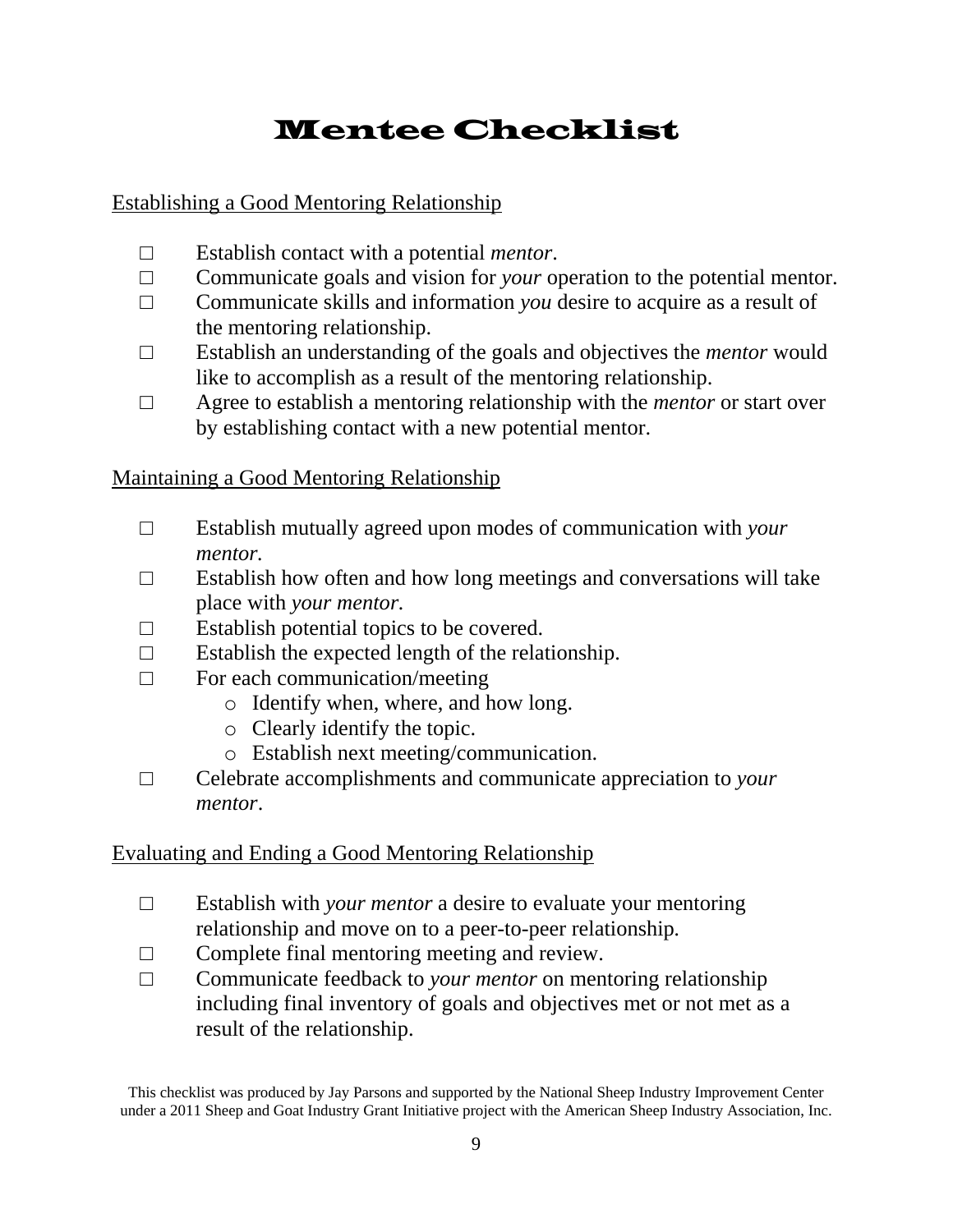# Mentee Checklist

# Establishing a Good Mentoring Relationship

- □ Establish contact with a potential *mentor*.
- □ Communicate goals and vision for *your* operation to the potential mentor.
- □ Communicate skills and information *you* desire to acquire as a result of the mentoring relationship.
- □ Establish an understanding of the goals and objectives the *mentor* would like to accomplish as a result of the mentoring relationship.
- □ Agree to establish a mentoring relationship with the *mentor* or start over by establishing contact with a new potential mentor.

# Maintaining a Good Mentoring Relationship

- □ Establish mutually agreed upon modes of communication with *your mentor.*
- $\Box$  Establish how often and how long meetings and conversations will take place with *your mentor.*
- $\Box$  Establish potential topics to be covered.
- $\Box$  Establish the expected length of the relationship.
- $\Box$  For each communication/meeting
	- o Identify when, where, and how long.
	- o Clearly identify the topic.
	- o Establish next meeting/communication.
- □ Celebrate accomplishments and communicate appreciation to *your mentor*.

# Evaluating and Ending a Good Mentoring Relationship

- □ Establish with *your mentor* a desire to evaluate your mentoring relationship and move on to a peer-to-peer relationship*.*
- $\Box$  Complete final mentoring meeting and review.
- □ Communicate feedback to *your mentor* on mentoring relationship including final inventory of goals and objectives met or not met as a result of the relationship.

This checklist was produced by Jay Parsons and supported by the National Sheep Industry Improvement Center under a 2011 Sheep and Goat Industry Grant Initiative project with the American Sheep Industry Association, Inc.